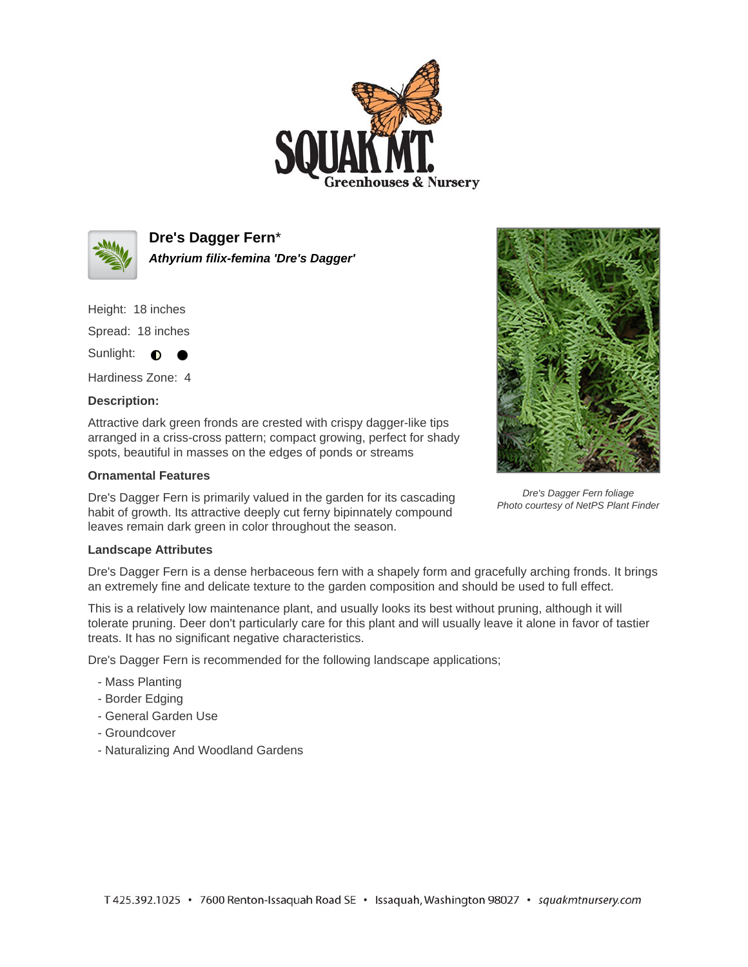



**Dre's Dagger Fern**\* **Athyrium filix-femina 'Dre's Dagger'**

Height: 18 inches

Spread: 18 inches

Sunlight:  $\bullet$ 

Hardiness Zone: 4

## **Description:**

Attractive dark green fronds are crested with crispy dagger-like tips arranged in a criss-cross pattern; compact growing, perfect for shady spots, beautiful in masses on the edges of ponds or streams

## **Ornamental Features**

Dre's Dagger Fern is primarily valued in the garden for its cascading habit of growth. Its attractive deeply cut ferny bipinnately compound leaves remain dark green in color throughout the season.



Dre's Dagger Fern foliage Photo courtesy of NetPS Plant Finder

## **Landscape Attributes**

Dre's Dagger Fern is a dense herbaceous fern with a shapely form and gracefully arching fronds. It brings an extremely fine and delicate texture to the garden composition and should be used to full effect.

This is a relatively low maintenance plant, and usually looks its best without pruning, although it will tolerate pruning. Deer don't particularly care for this plant and will usually leave it alone in favor of tastier treats. It has no significant negative characteristics.

Dre's Dagger Fern is recommended for the following landscape applications;

- Mass Planting
- Border Edging
- General Garden Use
- Groundcover
- Naturalizing And Woodland Gardens